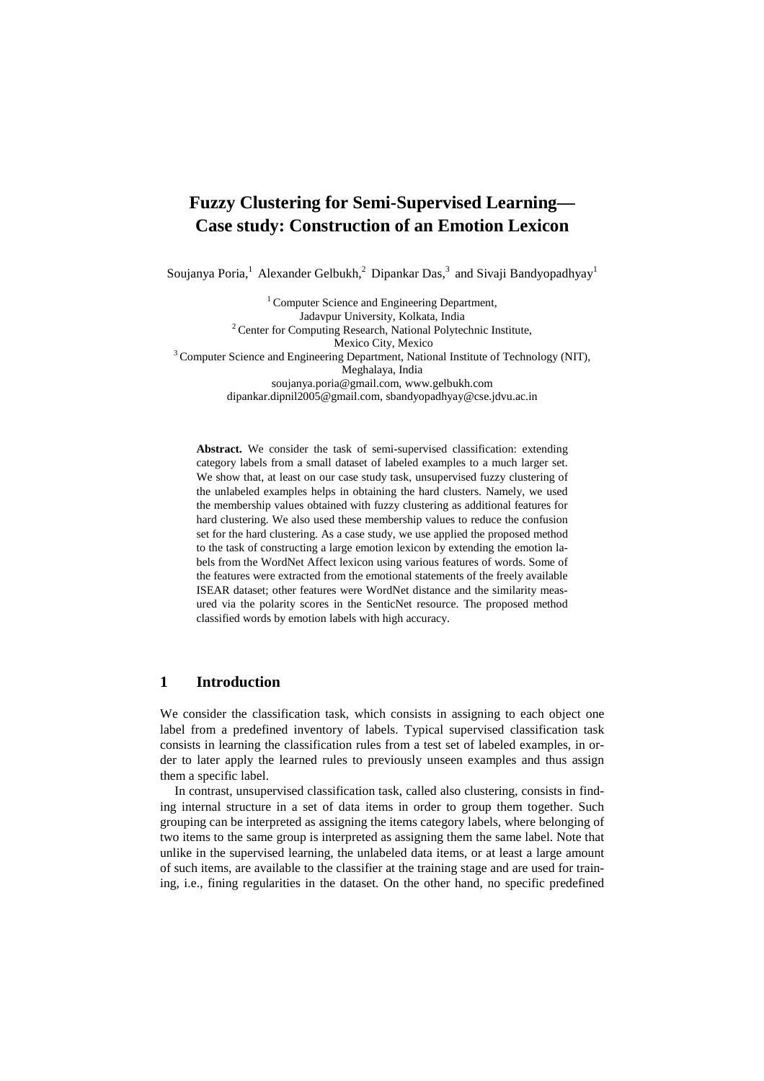# **Fuzzy Clustering for Semi-Supervised Learning— Case study: Construction of an Emotion Lexicon**

Soujanya Poria,<sup>1</sup> Alexander Gelbukh,<sup>2</sup> Dipankar Das,<sup>3</sup> and Sivaji Bandyopadhyay<sup>1</sup>

<sup>1</sup> Computer Science and Engineering Department, Jadavpur University, Kolkata, India <sup>2</sup> Center for Computing Research, National Polytechnic Institute, Mexico City, Mexico <sup>3</sup> Computer Science and Engineering Department, National Institute of Technology (NIT), Meghalaya, India soujanya.poria@gmail.com, www.gelbukh.com dipankar.dipnil2005@gmail.com, sbandyopadhyay@cse.jdvu.ac.in

**Abstract.** We consider the task of semi-supervised classification: extending category labels from a small dataset of labeled examples to a much larger set. We show that, at least on our case study task, unsupervised fuzzy clustering of the unlabeled examples helps in obtaining the hard clusters. Namely, we used the membership values obtained with fuzzy clustering as additional features for hard clustering. We also used these membership values to reduce the confusion set for the hard clustering. As a case study, we use applied the proposed method to the task of constructing a large emotion lexicon by extending the emotion labels from the WordNet Affect lexicon using various features of words. Some of the features were extracted from the emotional statements of the freely available ISEAR dataset; other features were WordNet distance and the similarity measured via the polarity scores in the SenticNet resource. The proposed method classified words by emotion labels with high accuracy.

### **1 Introduction**

We consider the classification task, which consists in assigning to each object one label from a predefined inventory of labels. Typical supervised classification task consists in learning the classification rules from a test set of labeled examples, in order to later apply the learned rules to previously unseen examples and thus assign them a specific label.

In contrast, unsupervised classification task, called also clustering, consists in finding internal structure in a set of data items in order to group them together. Such grouping can be interpreted as assigning the items category labels, where belonging of two items to the same group is interpreted as assigning them the same label. Note that unlike in the supervised learning, the unlabeled data items, or at least a large amount of such items, are available to the classifier at the training stage and are used for training, i.e., fining regularities in the dataset. On the other hand, no specific predefined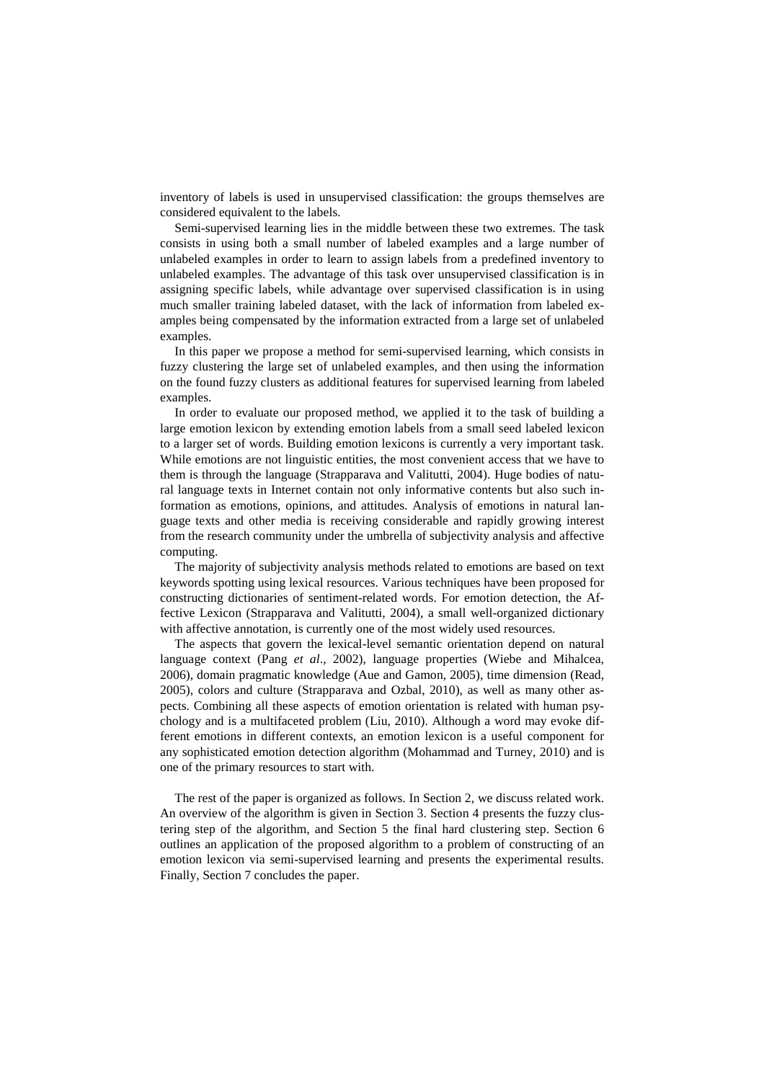inventory of labels is used in unsupervised classification: the groups themselves are considered equivalent to the labels.

Semi-supervised learning lies in the middle between these two extremes. The task consists in using both a small number of labeled examples and a large number of unlabeled examples in order to learn to assign labels from a predefined inventory to unlabeled examples. The advantage of this task over unsupervised classification is in assigning specific labels, while advantage over supervised classification is in using much smaller training labeled dataset, with the lack of information from labeled examples being compensated by the information extracted from a large set of unlabeled examples.

In this paper we propose a method for semi-supervised learning, which consists in fuzzy clustering the large set of unlabeled examples, and then using the information on the found fuzzy clusters as additional features for supervised learning from labeled examples.

In order to evaluate our proposed method, we applied it to the task of building a large emotion lexicon by extending emotion labels from a small seed labeled lexicon to a larger set of words. Building emotion lexicons is currently a very important task. While emotions are not linguistic entities, the most convenient access that we have to them is through the language (Strapparava and Valitutti, 2004). Huge bodies of natural language texts in Internet contain not only informative contents but also such information as emotions, opinions, and attitudes. Analysis of emotions in natural language texts and other media is receiving considerable and rapidly growing interest from the research community under the umbrella of subjectivity analysis and affective computing.

The majority of subjectivity analysis methods related to emotions are based on text keywords spotting using lexical resources. Various techniques have been proposed for constructing dictionaries of sentiment-related words. For emotion detection, the Affective Lexicon (Strapparava and Valitutti, 2004), a small well-organized dictionary with affective annotation, is currently one of the most widely used resources.

The aspects that govern the lexical-level semantic orientation depend on natural language context (Pang *et al*., 2002), language properties (Wiebe and Mihalcea, 2006), domain pragmatic knowledge (Aue and Gamon, 2005), time dimension (Read, 2005), colors and culture (Strapparava and Ozbal, 2010), as well as many other aspects. Combining all these aspects of emotion orientation is related with human psychology and is a multifaceted problem (Liu, 2010). Although a word may evoke different emotions in different contexts, an emotion lexicon is a useful component for any sophisticated emotion detection algorithm (Mohammad and Turney, 2010) and is one of the primary resources to start with.

The rest of the paper is organized as follows. In Section 2, we discuss related work. An overview of the algorithm is given in Section 3. Section 4 presents the fuzzy clustering step of the algorithm, and Section 5 the final hard clustering step. Section 6 outlines an application of the proposed algorithm to a problem of constructing of an emotion lexicon via semi-supervised learning and presents the experimental results. Finally, Section 7 concludes the paper.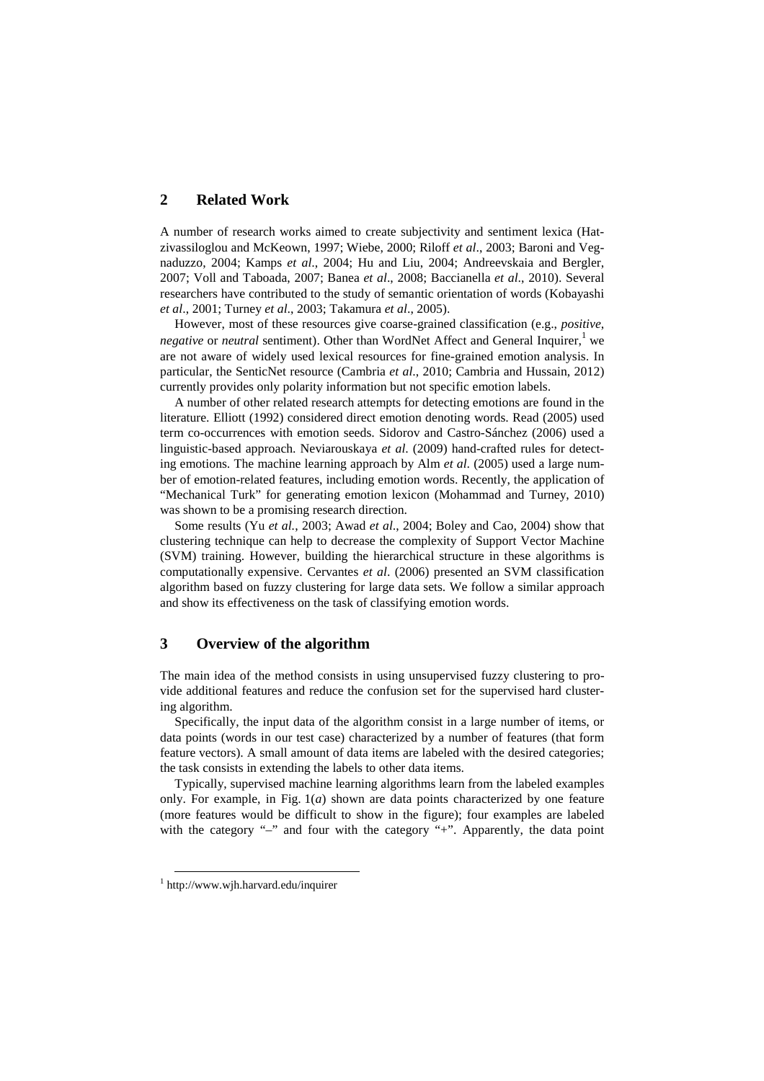# **2 Related Work**

A number of research works aimed to create subjectivity and sentiment lexica (Hatzivassiloglou and McKeown, 1997; Wiebe, 2000; Riloff *et al*., 2003; Baroni and Vegnaduzzo, 2004; Kamps *et al*., 2004; Hu and Liu, 2004; Andreevskaia and Bergler, 2007; Voll and Taboada, 2007; Banea *et al*., 2008; Baccianella *et al*., 2010). Several researchers have contributed to the study of semantic orientation of words (Kobayashi *et al*., 2001; Turney *et al*., 2003; Takamura *et al*., 2005).

However, most of these resources give coarse-grained classification (e.g., *positive*, *negative* or *neutral* sentiment). Other than WordNet Affect and General Inquirer,<sup>1</sup> we are not aware of widely used lexical resources for fine-grained emotion analysis. In particular, the SenticNet resource (Cambria *et al*., 2010; Cambria and Hussain, 2012) currently provides only polarity information but not specific emotion labels.

A number of other related research attempts for detecting emotions are found in the literature. Elliott (1992) considered direct emotion denoting words. Read (2005) used term co-occurrences with emotion seeds. Sidorov and Castro-Sánchez (2006) used a linguistic-based approach. Neviarouskaya *et al*. (2009) hand-crafted rules for detecting emotions. The machine learning approach by Alm *et al*. (2005) used a large number of emotion-related features, including emotion words. Recently, the application of "Mechanical Turk" for generating emotion lexicon (Mohammad and Turney, 2010) was shown to be a promising research direction.

Some results (Yu *et al.*, 2003; Awad *et al*., 2004; Boley and Cao, 2004) show that clustering technique can help to decrease the complexity of Support Vector Machine (SVM) training. However, building the hierarchical structure in these algorithms is computationally expensive. Cervantes *et al*. (2006) presented an SVM classification algorithm based on fuzzy clustering for large data sets. We follow a similar approach and show its effectiveness on the task of classifying emotion words.

## **3 Overview of the algorithm**

The main idea of the method consists in using unsupervised fuzzy clustering to provide additional features and reduce the confusion set for the supervised hard clustering algorithm.

Specifically, the input data of the algorithm consist in a large number of items, or data points (words in our test case) characterized by a number of features (that form feature vectors). A small amount of data items are labeled with the desired categories; the task consists in extending the labels to other data items.

Typically, supervised machine learning algorithms learn from the labeled examples only. For example, in Fig.  $1(a)$  shown are data points characterized by one feature (more features would be difficult to show in the figure); four examples are labeled with the category "–" and four with the category "+". Apparently, the data point

l

<sup>1</sup> http://www.wjh.harvard.edu/inquirer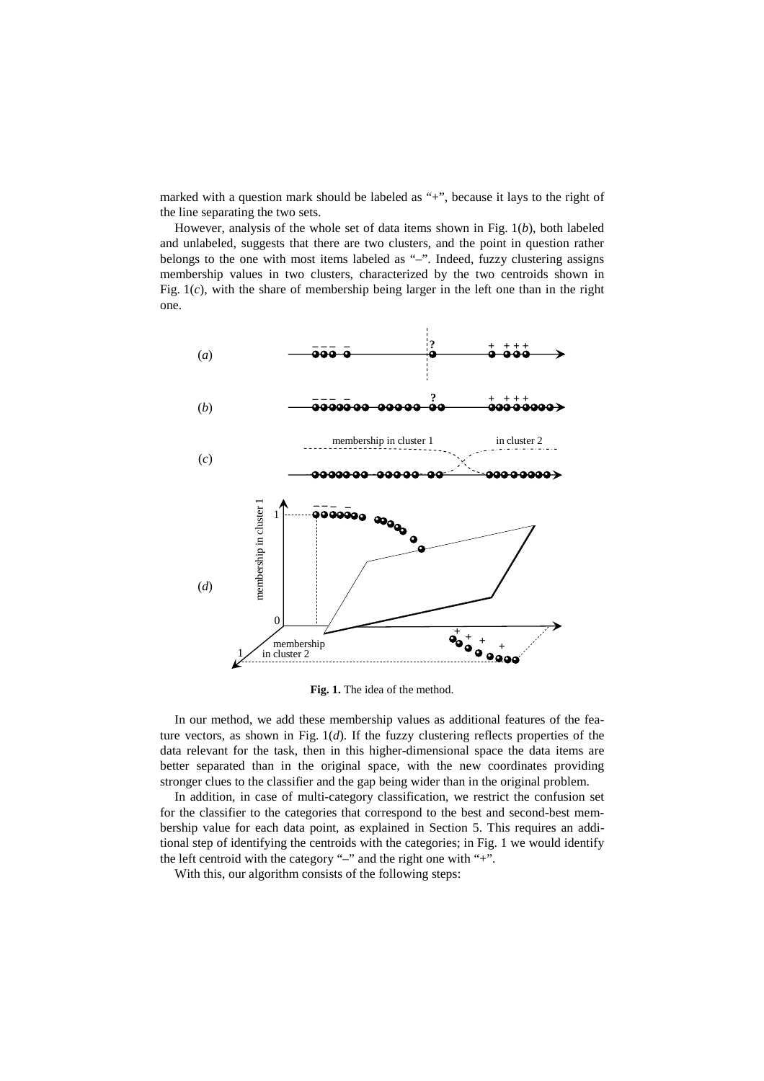marked with a question mark should be labeled as "+", because it lays to the right of the line separating the two sets.

However, analysis of the whole set of data items shown in Fig. 1(*b*), both labeled and unlabeled, suggests that there are two clusters, and the point in question rather belongs to the one with most items labeled as "–". Indeed, fuzzy clustering assigns membership values in two clusters, characterized by the two centroids shown in Fig. 1(*c*), with the share of membership being larger in the left one than in the right one.



**Fig. 1.** The idea of the method.

In our method, we add these membership values as additional features of the feature vectors, as shown in Fig. 1(*d*). If the fuzzy clustering reflects properties of the data relevant for the task, then in this higher-dimensional space the data items are better separated than in the original space, with the new coordinates providing stronger clues to the classifier and the gap being wider than in the original problem.

In addition, in case of multi-category classification, we restrict the confusion set for the classifier to the categories that correspond to the best and second-best membership value for each data point, as explained in Section 5. This requires an additional step of identifying the centroids with the categories; in Fig. 1 we would identify the left centroid with the category "–" and the right one with "+".

With this, our algorithm consists of the following steps: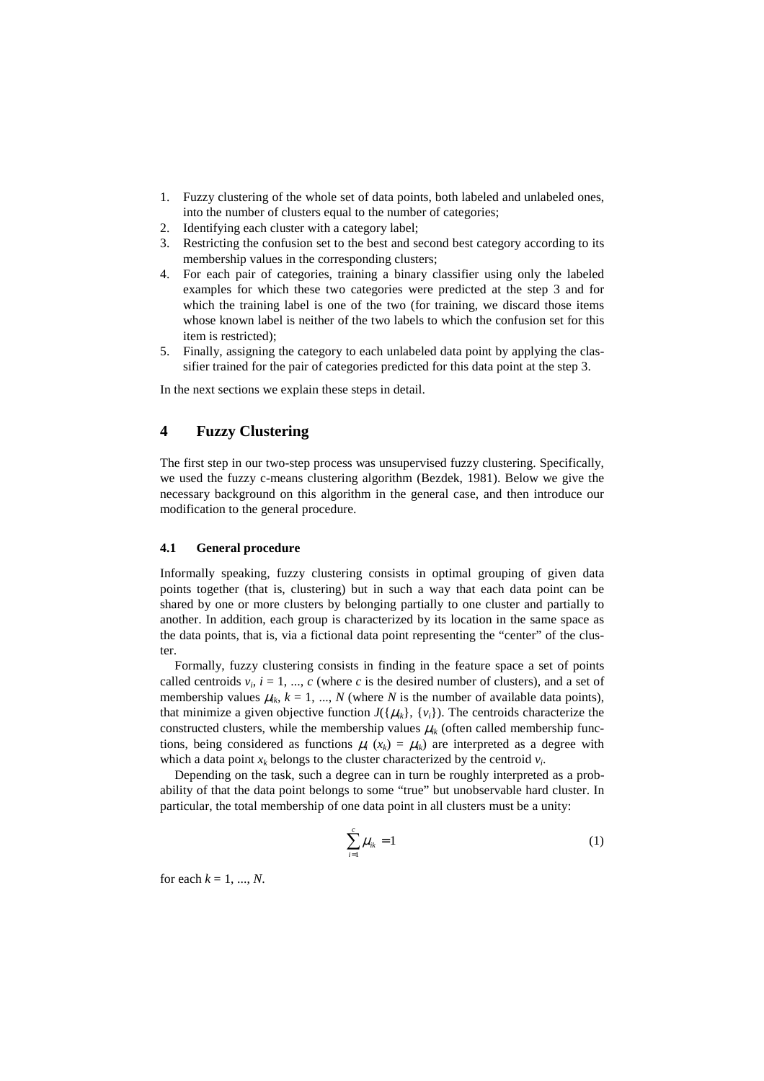- 1. Fuzzy clustering of the whole set of data points, both labeled and unlabeled ones, into the number of clusters equal to the number of categories;
- 2. Identifying each cluster with a category label;
- 3. Restricting the confusion set to the best and second best category according to its membership values in the corresponding clusters;
- 4. For each pair of categories, training a binary classifier using only the labeled examples for which these two categories were predicted at the step 3 and for which the training label is one of the two (for training, we discard those items whose known label is neither of the two labels to which the confusion set for this item is restricted);
- 5. Finally, assigning the category to each unlabeled data point by applying the classifier trained for the pair of categories predicted for this data point at the step 3.

In the next sections we explain these steps in detail.

### **4 Fuzzy Clustering**

The first step in our two-step process was unsupervised fuzzy clustering. Specifically, we used the fuzzy c-means clustering algorithm (Bezdek, 1981). Below we give the necessary background on this algorithm in the general case, and then introduce our modification to the general procedure.

#### **4.1 General procedure**

Informally speaking, fuzzy clustering consists in optimal grouping of given data points together (that is, clustering) but in such a way that each data point can be shared by one or more clusters by belonging partially to one cluster and partially to another. In addition, each group is characterized by its location in the same space as the data points, that is, via a fictional data point representing the "center" of the cluster.

Formally, fuzzy clustering consists in finding in the feature space a set of points called centroids  $v_i$ ,  $i = 1, ..., c$  (where *c* is the desired number of clusters), and a set of membership values  $\mu_{ik}$ ,  $k = 1, ..., N$  (where *N* is the number of available data points), that minimize a given objective function  $J(\{\mu_k\}, {\{\nu_i\}})$ . The centroids characterize the constructed clusters, while the membership values  $\mu_{ik}$  (often called membership functions, being considered as functions  $\mu_i$  ( $x_k$ ) =  $\mu_{ik}$ ) are interpreted as a degree with which a data point  $x_k$  belongs to the cluster characterized by the centroid  $v_i$ .

Depending on the task, such a degree can in turn be roughly interpreted as a probability of that the data point belongs to some "true" but unobservable hard cluster. In particular, the total membership of one data point in all clusters must be a unity:

$$
\sum_{i=1}^{c} \mu_{ik} = 1
$$
 (1)

for each  $k = 1, ..., N$ .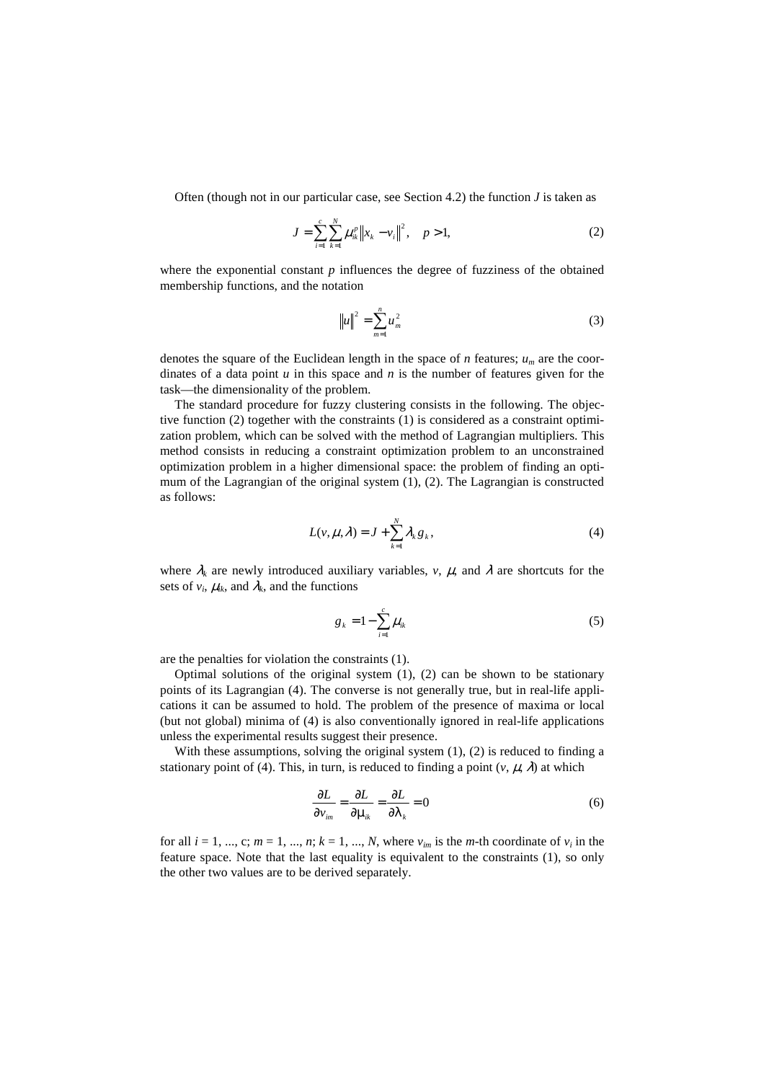Often (though not in our particular case, see Section 4.2) the function *J* is taken as

$$
J = \sum_{i=1}^{c} \sum_{k=1}^{N} \mu_{ik}^{p} \|x_k - v_i\|^2, \quad p > 1,
$$
 (2)

where the exponential constant  $p$  influences the degree of fuzziness of the obtained membership functions, and the notation

$$
||u||^2 = \sum_{m=1}^{n} u_m^2
$$
 (3)

denotes the square of the Euclidean length in the space of *n* features;  $u_m$  are the coordinates of a data point  $u$  in this space and  $n$  is the number of features given for the task—the dimensionality of the problem.

The standard procedure for fuzzy clustering consists in the following. The objective function (2) together with the constraints (1) is considered as a constraint optimization problem, which can be solved with the method of Lagrangian multipliers. This method consists in reducing a constraint optimization problem to an unconstrained optimization problem in a higher dimensional space: the problem of finding an optimum of the Lagrangian of the original system (1), (2). The Lagrangian is constructed as follows:

$$
L(\nu, \mu, \lambda) = J + \sum_{k=1}^{N} \lambda_k g_k,
$$
\n(4)

where  $\lambda_k$  are newly introduced auxiliary variables, *v*,  $\mu$ , and  $\lambda$  are shortcuts for the sets of  $v_i$ ,  $\mu_{ik}$ , and  $\lambda_k$ , and the functions

$$
g_k = 1 - \sum_{i=1}^{c} \mu_{ik}
$$
 (5)

are the penalties for violation the constraints (1).

Optimal solutions of the original system (1), (2) can be shown to be stationary points of its Lagrangian (4). The converse is not generally true, but in real-life applications it can be assumed to hold. The problem of the presence of maxima or local (but not global) minima of (4) is also conventionally ignored in real-life applications unless the experimental results suggest their presence.

With these assumptions, solving the original system  $(1)$ ,  $(2)$  is reduced to finding a stationary point of (4). This, in turn, is reduced to finding a point  $(v, \mu, \lambda)$  at which

$$
\frac{\partial L}{\partial v_{im}} = \frac{\partial L}{\partial \mu_{ik}} = \frac{\partial L}{\partial \lambda_k} = 0
$$
 (6)

for all  $i = 1, ..., c; m = 1, ..., n; k = 1, ..., N$ , where  $v_{im}$  is the *m*-th coordinate of  $v_i$  in the feature space. Note that the last equality is equivalent to the constraints (1), so only the other two values are to be derived separately.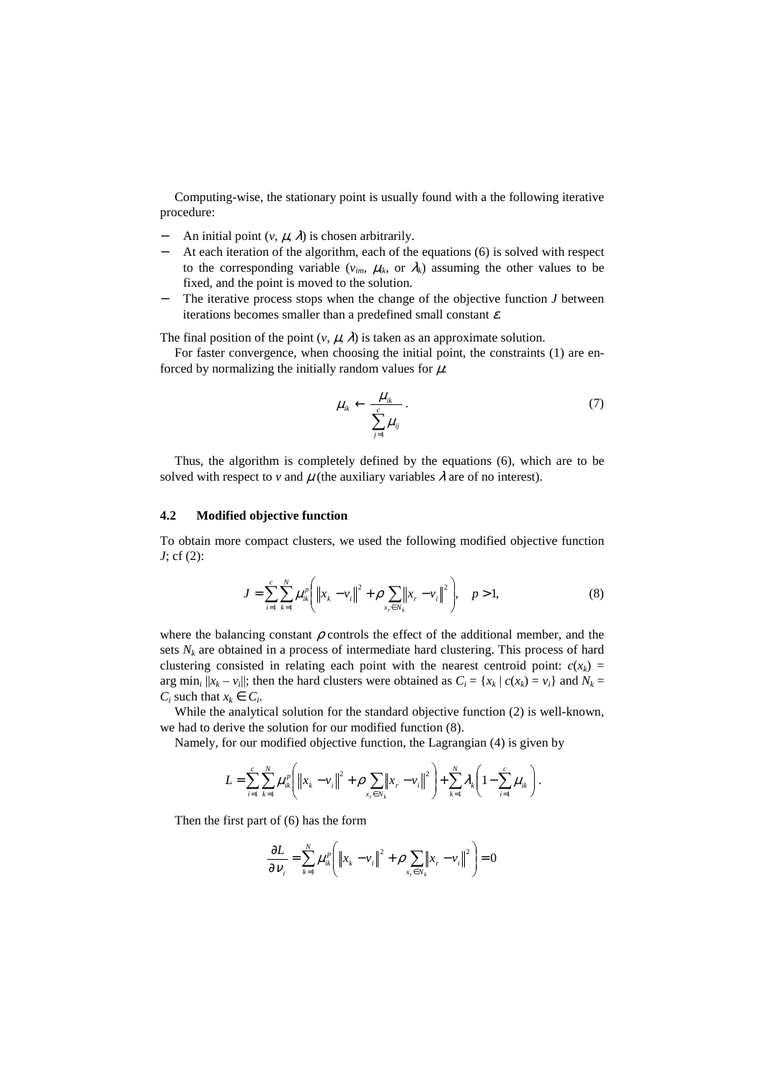Computing-wise, the stationary point is usually found with a the following iterative procedure:

- An initial point  $(v, \mu, \lambda)$  is chosen arbitrarily.
- At each iteration of the algorithm, each of the equations (6) is solved with respect to the corresponding variable ( $v_{im}$ ,  $\mu_{ik}$ , or  $\lambda_k$ ) assuming the other values to be fixed, and the point is moved to the solution.
- The iterative process stops when the change of the objective function *J* between iterations becomes smaller than a predefined small constant  $\varepsilon$ .

The final position of the point  $(v, \mu, \lambda)$  is taken as an approximate solution.

For faster convergence, when choosing the initial point, the constraints (1) are enforced by normalizing the initially random values for  $\mu$ :

$$
\mu_{ik} \leftarrow \frac{\mu_{ik}}{\sum_{j=1}^{c} \mu_{ij}}.
$$
\n(7)

Thus, the algorithm is completely defined by the equations (6), which are to be solved with respect to *v* and  $\mu$  (the auxiliary variables  $\lambda$  are of no interest).

#### **4.2 Modified objective function**

To obtain more compact clusters, we used the following modified objective function *J*; cf (2):

$$
J = \sum_{i=1}^{c} \sum_{k=1}^{N} \mu_{ik}^{p} \left( \left\| x_{k} - v_{i} \right\|^{2} + \rho \sum_{x_{r} \in N_{k}} \left\| x_{r} - v_{i} \right\|^{2} \right), \quad p > 1, \tag{8}
$$

where the balancing constant  $\rho$  controls the effect of the additional member, and the sets  $N_k$  are obtained in a process of intermediate hard clustering. This process of hard clustering consisted in relating each point with the nearest centroid point:  $c(x_k)$  = arg min<sub>*i*</sub>  $||x_k - v_i||$ ; then the hard clusters were obtained as  $C_i = \{x_k | c(x_k) = v_i\}$  and  $N_k =$ *C*<sup>*i*</sup> such that  $x_k \in C_i$ .

While the analytical solution for the standard objective function (2) is well-known, we had to derive the solution for our modified function (8).

Namely, for our modified objective function, the Lagrangian (4) is given by

$$
L = \sum_{i=1}^{c} \sum_{k=1}^{N} \mu_{ik}^{p} \left( \left\| x_{k} - v_{i} \right\|^{2} + \rho \sum_{x_{r} \in N_{k}} \left\| x_{r} - v_{i} \right\|^{2} \right) + \sum_{k=1}^{N} \lambda_{k} \left( 1 - \sum_{i=1}^{c} \mu_{ik} \right).
$$

Then the first part of (6) has the form

$$
\frac{\partial L}{\partial v_i} = \sum_{k=1}^{N} \mu_{ik}^{p} \left( \|x_k - v_i\|^2 + \rho \sum_{x_r \in N_k} \|x_r - v_i\|^2 \right) = 0
$$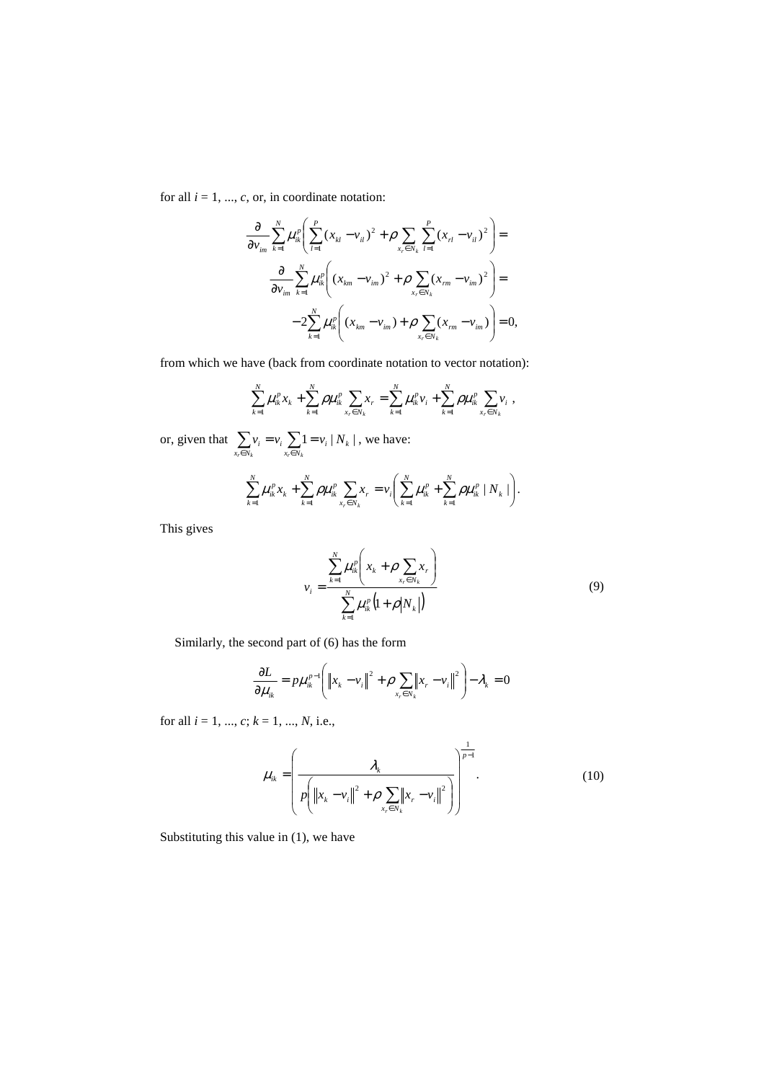for all  $i = 1, ..., c$ , or, in coordinate notation:

$$
\frac{\partial}{\partial v_{im}} \sum_{k=1}^{N} \mu_{ik}^{p} \left( \sum_{l=1}^{P} (x_{kl} - v_{il})^{2} + \rho \sum_{x_{r} \in N_{k}} \sum_{l=1}^{P} (x_{rl} - v_{il})^{2} \right) =
$$
\n
$$
\frac{\partial}{\partial v_{im}} \sum_{k=1}^{N} \mu_{ik}^{p} \left( (x_{km} - v_{im})^{2} + \rho \sum_{x_{r} \in N_{k}} (x_{rm} - v_{im})^{2} \right) =
$$
\n
$$
-2 \sum_{k=1}^{N} \mu_{ik}^{p} \left( (x_{km} - v_{im}) + \rho \sum_{x_{r} \in N_{k}} (x_{rm} - v_{im}) \right) = 0,
$$

from which we have (back from coordinate notation to vector notation):

$$
\sum_{k=1}^N \mu_{ik}^p x_k + \sum_{k=1}^N \rho \mu_{ik}^p \sum_{x_r \in N_k} x_r = \sum_{k=1}^N \mu_{ik}^p v_i + \sum_{k=1}^N \rho \mu_{ik}^p \sum_{x_r \in N_k} v_i,
$$

or, given that  $\sum_{x_i \in N_k} v_i = v_i \sum_{x_i \in N_k} 1 = v_i | N_k |$  $r \in \mathbb{N}_k$   $x_r \in \mathbb{N}_k$  $\sum_{i \in N_k} v_i = v_i \sum_{x_i \in N_k} 1 =$ , we have:

$$
\sum_{k=1}^N \mu_{ik}^p x_k + \sum_{k=1}^N \rho \mu_{ik}^p \sum_{x_r \in N_k} x_r = v_i \left( \sum_{k=1}^N \mu_{ik}^p + \sum_{k=1}^N \rho \mu_{ik}^p \mid N_k \mid \right).
$$

This gives

$$
v_{i} = \frac{\sum_{k=1}^{N} \mu_{ik}^{p} \left(x_{k} + \rho \sum_{x_{r} \in N_{k}} x_{r}\right)}{\sum_{k=1}^{N} \mu_{ik}^{p} \left(1 + \rho |N_{k}|\right)}
$$
(9)

Similarly, the second part of (6) has the form

$$
\frac{\partial L}{\partial \mu_{ik}} = p \mu_{ik}^{p-1} \left( \left\| x_k - v_i \right\|^2 + \rho \sum_{x_r \in N_k} \left\| x_r - v_i \right\|^2 \right) - \lambda_k = 0
$$

for all  $i = 1, ..., c$ ;  $k = 1, ..., N$ , i.e.,

$$
\mu_{ik} = \left(\frac{\lambda_k}{p\left(\left\|x_k - v_i\right\|^2 + \rho \sum_{x_r \in N_k} \left\|x_r - v_i\right\|^2\right)}\right)^{\frac{1}{p-1}}.
$$
\n(10)

Substituting this value in (1), we have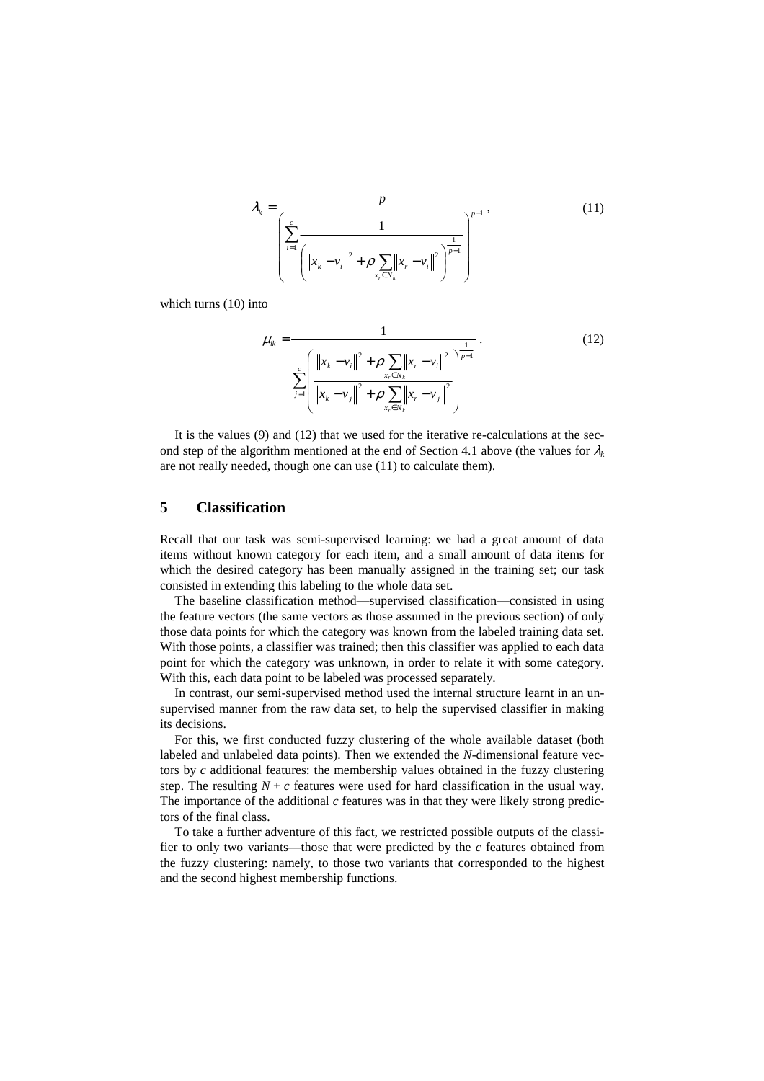$$
\lambda_{k} = \frac{p}{\left(\sum_{i=1}^{c} \frac{1}{\left(\left\|x_{k} - v_{i}\right\|^{2} + \rho \sum_{x_{r} \in N_{k}} \left\|x_{r} - v_{i}\right\|^{2}\right)^{\frac{1}{p-1}}}\right)^{p-1}},
$$
\n(11)

which turns (10) into

$$
\mu_{ik} = \frac{1}{\sum_{j=1}^{c} \left( \frac{\left\|x_k - v_i\right\|^2 + \rho \sum_{x_r \in N_k} \left\|x_r - v_i\right\|^2}{\left\|x_k - v_j\right\|^2 + \rho \sum_{x_r \in N_k} \left\|x_r - v_j\right\|^2} \right)^{\frac{1}{p-1}}}.
$$
\n(12)

It is the values (9) and (12) that we used for the iterative re-calculations at the second step of the algorithm mentioned at the end of Section 4.1 above (the values for  $\lambda_k$ ) are not really needed, though one can use (11) to calculate them).

# **5 Classification**

Recall that our task was semi-supervised learning: we had a great amount of data items without known category for each item, and a small amount of data items for which the desired category has been manually assigned in the training set; our task consisted in extending this labeling to the whole data set.

The baseline classification method—supervised classification—consisted in using the feature vectors (the same vectors as those assumed in the previous section) of only those data points for which the category was known from the labeled training data set. With those points, a classifier was trained; then this classifier was applied to each data point for which the category was unknown, in order to relate it with some category. With this, each data point to be labeled was processed separately.

In contrast, our semi-supervised method used the internal structure learnt in an unsupervised manner from the raw data set, to help the supervised classifier in making its decisions.

For this, we first conducted fuzzy clustering of the whole available dataset (both labeled and unlabeled data points). Then we extended the *N*-dimensional feature vectors by *c* additional features: the membership values obtained in the fuzzy clustering step. The resulting  $N + c$  features were used for hard classification in the usual way. The importance of the additional *c* features was in that they were likely strong predictors of the final class.

To take a further adventure of this fact, we restricted possible outputs of the classifier to only two variants—those that were predicted by the *c* features obtained from the fuzzy clustering: namely, to those two variants that corresponded to the highest and the second highest membership functions.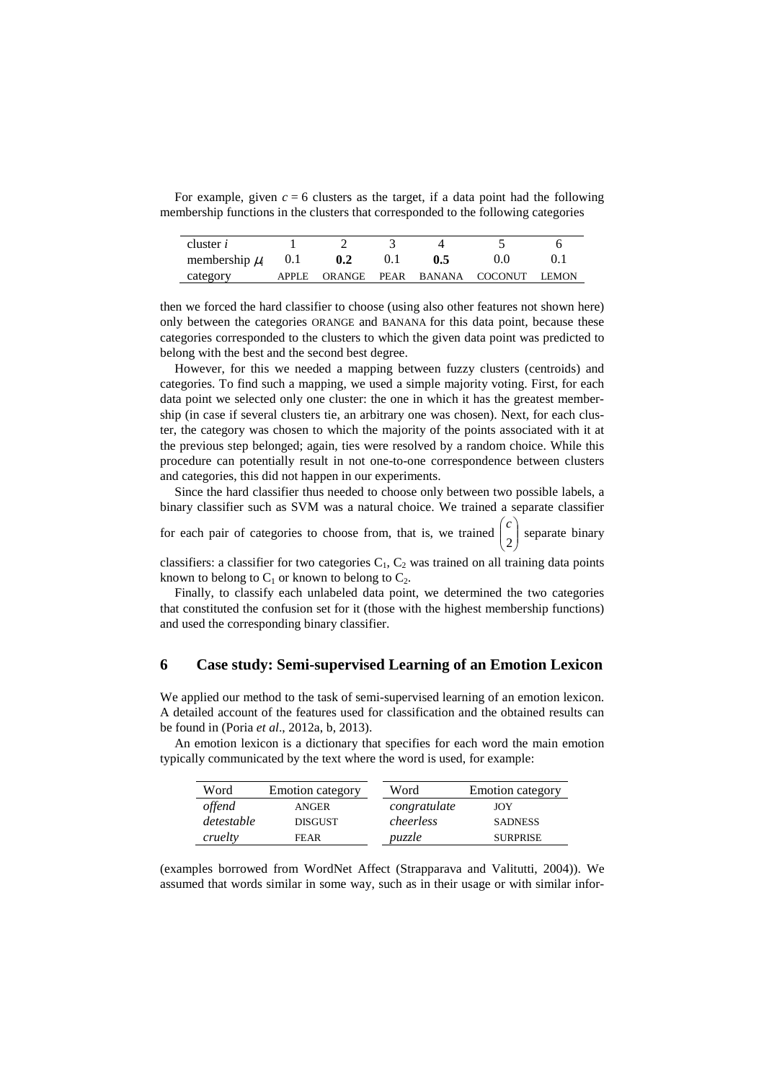For example, given  $c = 6$  clusters as the target, if a data point had the following membership functions in the clusters that corresponded to the following categories

| cluster <i>i</i>   |        |        |     |                           |  |
|--------------------|--------|--------|-----|---------------------------|--|
| membership $\mu_i$ | 0.1    | 0.2    | 0.5 | 0.0                       |  |
| category           | APPLE. | ORANGE |     | PEAR BANANA COCONUT LEMON |  |

then we forced the hard classifier to choose (using also other features not shown here) only between the categories ORANGE and BANANA for this data point, because these categories corresponded to the clusters to which the given data point was predicted to belong with the best and the second best degree.

However, for this we needed a mapping between fuzzy clusters (centroids) and categories. To find such a mapping, we used a simple majority voting. First, for each data point we selected only one cluster: the one in which it has the greatest membership (in case if several clusters tie, an arbitrary one was chosen). Next, for each cluster, the category was chosen to which the majority of the points associated with it at the previous step belonged; again, ties were resolved by a random choice. While this procedure can potentially result in not one-to-one correspondence between clusters and categories, this did not happen in our experiments.

Since the hard classifier thus needed to choose only between two possible labels, a binary classifier such as SVM was a natural choice. We trained a separate classifier

for each pair of categories to choose from, that is, we trained  $\begin{bmatrix} 0 \\ 2 \end{bmatrix}$ J  $\backslash$  $\overline{\phantom{a}}$ l ſ 2  $\begin{bmatrix} c \\ s \end{bmatrix}$  separate binary

classifiers: a classifier for two categories  $C_1$ ,  $C_2$  was trained on all training data points known to belong to  $C_1$  or known to belong to  $C_2$ .

Finally, to classify each unlabeled data point, we determined the two categories that constituted the confusion set for it (those with the highest membership functions) and used the corresponding binary classifier.

#### **6 Case study: Semi-supervised Learning of an Emotion Lexicon**

We applied our method to the task of semi-supervised learning of an emotion lexicon. A detailed account of the features used for classification and the obtained results can be found in (Poria *et al*., 2012a, b, 2013).

An emotion lexicon is a dictionary that specifies for each word the main emotion typically communicated by the text where the word is used, for example:

| Word          | <b>Emotion</b> category | Word         | <b>Emotion</b> category |
|---------------|-------------------------|--------------|-------------------------|
| <i>offend</i> | ANGER                   | congratulate | JOY                     |
| detestable    | <b>DISGUST</b>          | cheerless    | <b>SADNESS</b>          |
| cruelty       | <b>FEAR</b>             | puzzle       | <b>SURPRISE</b>         |

(examples borrowed from WordNet Affect (Strapparava and Valitutti, 2004)). We assumed that words similar in some way, such as in their usage or with similar infor-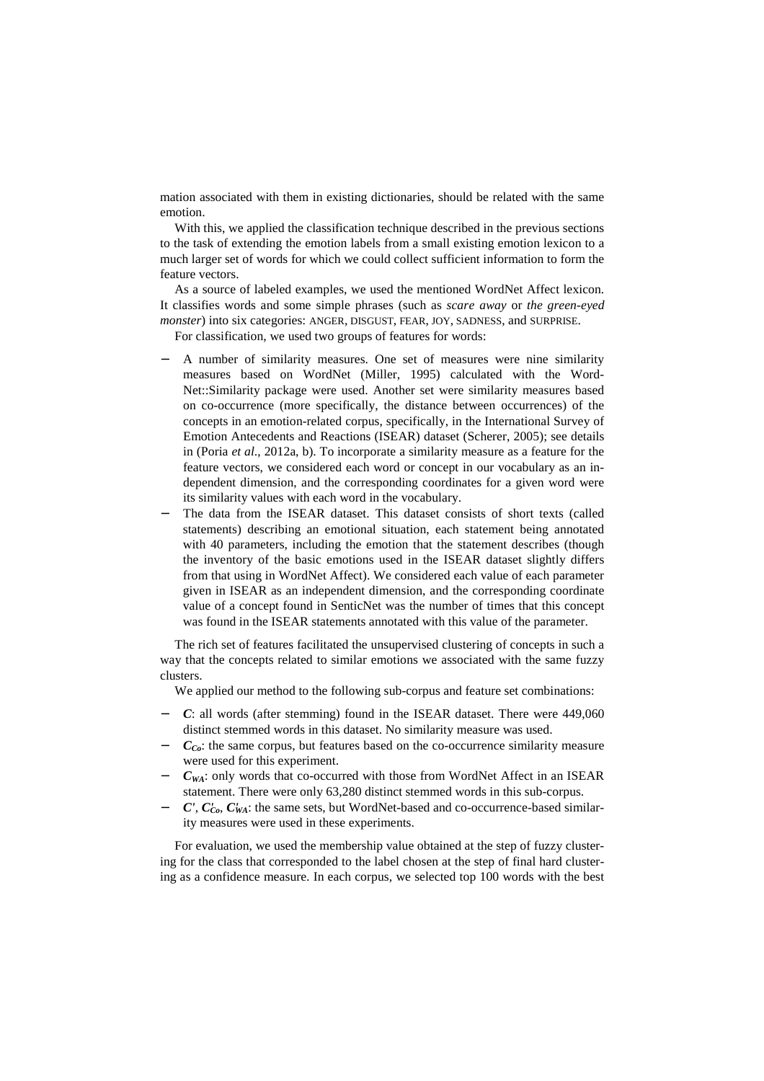mation associated with them in existing dictionaries, should be related with the same emotion.

With this, we applied the classification technique described in the previous sections to the task of extending the emotion labels from a small existing emotion lexicon to a much larger set of words for which we could collect sufficient information to form the feature vectors.

As a source of labeled examples, we used the mentioned WordNet Affect lexicon. It classifies words and some simple phrases (such as *scare away* or *the green-eyed monster*) into six categories: ANGER, DISGUST, FEAR, JOY, SADNESS, and SURPRISE.

For classification, we used two groups of features for words:

- A number of similarity measures. One set of measures were nine similarity measures based on WordNet (Miller, 1995) calculated with the Word-Net::Similarity package were used. Another set were similarity measures based on co-occurrence (more specifically, the distance between occurrences) of the concepts in an emotion-related corpus, specifically, in the International Survey of Emotion Antecedents and Reactions (ISEAR) dataset (Scherer, 2005); see details in (Poria *et al*., 2012a, b). To incorporate a similarity measure as a feature for the feature vectors, we considered each word or concept in our vocabulary as an independent dimension, and the corresponding coordinates for a given word were its similarity values with each word in the vocabulary.
- The data from the ISEAR dataset. This dataset consists of short texts (called statements) describing an emotional situation, each statement being annotated with 40 parameters, including the emotion that the statement describes (though the inventory of the basic emotions used in the ISEAR dataset slightly differs from that using in WordNet Affect). We considered each value of each parameter given in ISEAR as an independent dimension, and the corresponding coordinate value of a concept found in SenticNet was the number of times that this concept was found in the ISEAR statements annotated with this value of the parameter.

The rich set of features facilitated the unsupervised clustering of concepts in such a way that the concepts related to similar emotions we associated with the same fuzzy clusters.

We applied our method to the following sub-corpus and feature set combinations:

- − *C*: all words (after stemming) found in the ISEAR dataset. There were 449,060 distinct stemmed words in this dataset. No similarity measure was used.
- *C*<sub>*Co*</sub>: the same corpus, but features based on the co-occurrence similarity measure were used for this experiment.
- − *CWA*: only words that co-occurred with those from WordNet Affect in an ISEAR statement. There were only 63,280 distinct stemmed words in this sub-corpus.
- *C'*,  $C'_{Co}$ ,  $C'_{WA}$ : the same sets, but WordNet-based and co-occurrence-based similarity measures were used in these experiments.

For evaluation, we used the membership value obtained at the step of fuzzy clustering for the class that corresponded to the label chosen at the step of final hard clustering as a confidence measure. In each corpus, we selected top 100 words with the best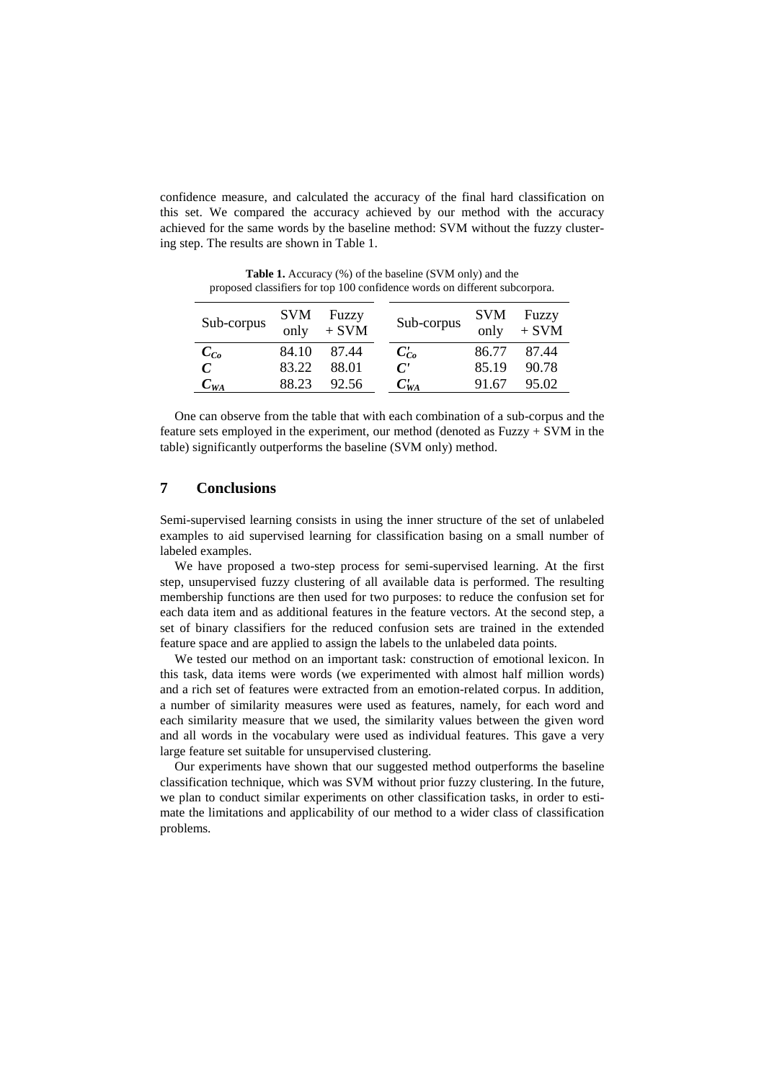confidence measure, and calculated the accuracy of the final hard classification on this set. We compared the accuracy achieved by our method with the accuracy achieved for the same words by the baseline method: SVM without the fuzzy clustering step. The results are shown in Table 1.

Sub-corpus SVM only Fuzzy  $_{+}$  SVM Sub-corpus SVM<br> $_{+}$  SVM only Fuzzy + SVM *CCo* 84.10 87.44 *C'Co* 86.77 87.44 *C* 83.22 88.01 *C'* 85.19 90.78 *CWA* 88.23 92.56 *C'WA* 91.67 95.02

**Table 1.** Accuracy (%) of the baseline (SVM only) and the proposed classifiers for top 100 confidence words on different subcorpora.

One can observe from the table that with each combination of a sub-corpus and the feature sets employed in the experiment, our method (denoted as Fuzzy + SVM in the table) significantly outperforms the baseline (SVM only) method.

### **7 Conclusions**

Semi-supervised learning consists in using the inner structure of the set of unlabeled examples to aid supervised learning for classification basing on a small number of labeled examples.

We have proposed a two-step process for semi-supervised learning. At the first step, unsupervised fuzzy clustering of all available data is performed. The resulting membership functions are then used for two purposes: to reduce the confusion set for each data item and as additional features in the feature vectors. At the second step, a set of binary classifiers for the reduced confusion sets are trained in the extended feature space and are applied to assign the labels to the unlabeled data points.

We tested our method on an important task: construction of emotional lexicon. In this task, data items were words (we experimented with almost half million words) and a rich set of features were extracted from an emotion-related corpus. In addition, a number of similarity measures were used as features, namely, for each word and each similarity measure that we used, the similarity values between the given word and all words in the vocabulary were used as individual features. This gave a very large feature set suitable for unsupervised clustering.

Our experiments have shown that our suggested method outperforms the baseline classification technique, which was SVM without prior fuzzy clustering. In the future, we plan to conduct similar experiments on other classification tasks, in order to estimate the limitations and applicability of our method to a wider class of classification problems.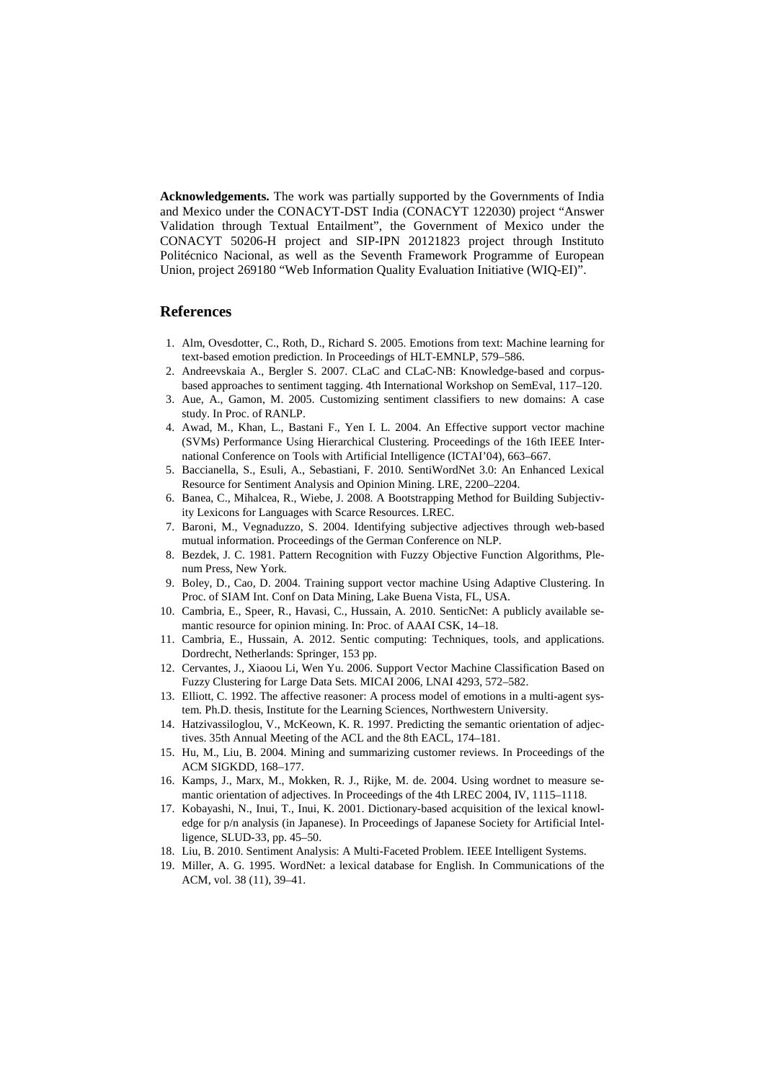**Acknowledgements.** The work was partially supported by the Governments of India and Mexico under the CONACYT-DST India (CONACYT 122030) project "Answer Validation through Textual Entailment", the Government of Mexico under the CONACYT 50206-H project and SIP-IPN 20121823 project through Instituto Politécnico Nacional, as well as the Seventh Framework Programme of European Union, project 269180 "Web Information Quality Evaluation Initiative (WIQ-EI)".

#### **References**

- 1. Alm, Ovesdotter, C., Roth, D., Richard S. 2005. Emotions from text: Machine learning for text-based emotion prediction. In Proceedings of HLT-EMNLP, 579–586.
- 2. Andreevskaia A., Bergler S. 2007. CLaC and CLaC-NB: Knowledge-based and corpusbased approaches to sentiment tagging. 4th International Workshop on SemEval, 117–120.
- 3. Aue, A., Gamon, M. 2005. Customizing sentiment classifiers to new domains: A case study. In Proc. of RANLP.
- 4. Awad, M., Khan, L., Bastani F., Yen I. L. 2004. An Effective support vector machine (SVMs) Performance Using Hierarchical Clustering. Proceedings of the 16th IEEE International Conference on Tools with Artificial Intelligence (ICTAI'04), 663–667.
- 5. Baccianella, S., Esuli, A., Sebastiani, F. 2010. SentiWordNet 3.0: An Enhanced Lexical Resource for Sentiment Analysis and Opinion Mining. LRE, 2200–2204.
- 6. Banea, C., Mihalcea, R., Wiebe, J. 2008. A Bootstrapping Method for Building Subjectivity Lexicons for Languages with Scarce Resources. LREC.
- 7. Baroni, M., Vegnaduzzo, S. 2004. Identifying subjective adjectives through web-based mutual information. Proceedings of the German Conference on NLP.
- 8. Bezdek, J. C. 1981. Pattern Recognition with Fuzzy Objective Function Algorithms, Plenum Press, New York.
- 9. Boley, D., Cao, D. 2004. Training support vector machine Using Adaptive Clustering. In Proc. of SIAM Int. Conf on Data Mining, Lake Buena Vista, FL, USA.
- 10. Cambria, E., Speer, R., Havasi, C., Hussain, A. 2010. SenticNet: A publicly available semantic resource for opinion mining. In: Proc. of AAAI CSK, 14–18.
- 11. Cambria, E., Hussain, A. 2012. Sentic computing: Techniques, tools, and applications. Dordrecht, Netherlands: Springer, 153 pp.
- 12. Cervantes, J., Xiaoou Li, Wen Yu. 2006. Support Vector Machine Classification Based on Fuzzy Clustering for Large Data Sets. MICAI 2006, LNAI 4293, 572–582.
- 13. Elliott, C. 1992. The affective reasoner: A process model of emotions in a multi-agent system. Ph.D. thesis, Institute for the Learning Sciences, Northwestern University.
- 14. Hatzivassiloglou, V., McKeown, K. R. 1997. Predicting the semantic orientation of adjectives. 35th Annual Meeting of the ACL and the 8th EACL, 174–181.
- 15. Hu, M., Liu, B. 2004. Mining and summarizing customer reviews. In Proceedings of the ACM SIGKDD, 168–177.
- 16. Kamps, J., Marx, M., Mokken, R. J., Rijke, M. de. 2004. Using wordnet to measure semantic orientation of adjectives. In Proceedings of the 4th LREC 2004, IV, 1115–1118.
- 17. Kobayashi, N., Inui, T., Inui, K. 2001. Dictionary-based acquisition of the lexical knowledge for p/n analysis (in Japanese). In Proceedings of Japanese Society for Artificial Intelligence, SLUD-33, pp. 45–50.
- 18. Liu, B. 2010. Sentiment Analysis: A Multi-Faceted Problem. IEEE Intelligent Systems.
- 19. Miller, A. G. 1995. WordNet: a lexical database for English. In Communications of the ACM, vol. 38 (11), 39–41.